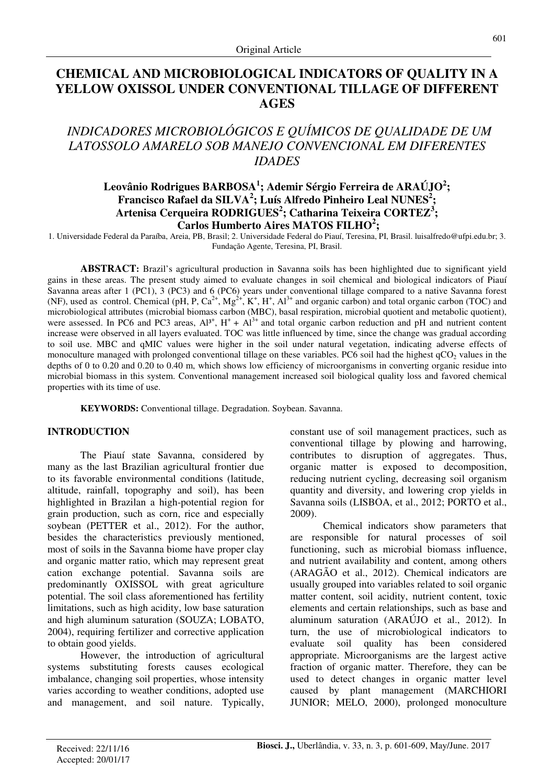# **CHEMICAL AND MICROBIOLOGICAL INDICATORS OF QUALITY IN A YELLOW OXISSOL UNDER CONVENTIONAL TILLAGE OF DIFFERENT AGES**

# *INDICADORES MICROBIOLÓGICOS E QUÍMICOS DE QUALIDADE DE UM LATOSSOLO AMARELO SOB MANEJO CONVENCIONAL EM DIFERENTES IDADES*

## **Leovânio Rodrigues BARBOSA<sup>1</sup> ; Ademir Sérgio Ferreira de ARAÚJO<sup>2</sup> ; Francisco Rafael da SILVA<sup>2</sup> ; Luís Alfredo Pinheiro Leal NUNES<sup>2</sup> ; Artenisa Cerqueira RODRIGUES<sup>2</sup> ; Catharina Teixeira CORTEZ<sup>3</sup> ; Carlos Humberto Aires MATOS FILHO<sup>2</sup> ;**

1. Universidade Federal da Paraíba, Areia, PB, Brasil; 2. Universidade Federal do Piauí, Teresina, PI, Brasil. luisalfredo@ufpi.edu.br; 3. Fundação Agente, Teresina, PI, Brasil.

**ABSTRACT:** Brazil's agricultural production in Savanna soils has been highlighted due to significant yield gains in these areas. The present study aimed to evaluate changes in soil chemical and biological indicators of Piauí Savanna areas after 1 (PC1), 3 (PC3) and 6 (PC6) years under conventional tillage compared to a native Savanna forest (NF), used as control. Chemical (pH, P,  $Ca^{2+}$ ,  $Mg^{2+}$ , K<sup>+</sup>, H<sup>+</sup>, Al<sup>3+</sup> and organic carbon) and total organic carbon (TOC) and microbiological attributes (microbial biomass carbon (MBC), basal respiration, microbial quotient and metabolic quotient), were assessed. In PC6 and PC3 areas,  $Al^{3+}$ ,  $H^+ + Al^{3+}$  and total organic carbon reduction and pH and nutrient content increase were observed in all layers evaluated. TOC was little influenced by time, since the change was gradual according to soil use. MBC and qMIC values were higher in the soil under natural vegetation, indicating adverse effects of monoculture managed with prolonged conventional tillage on these variables. PC6 soil had the highest  $qCO<sub>2</sub>$  values in the depths of 0 to 0.20 and 0.20 to 0.40 m, which shows low efficiency of microorganisms in converting organic residue into microbial biomass in this system. Conventional management increased soil biological quality loss and favored chemical properties with its time of use.

**KEYWORDS:** Conventional tillage. Degradation. Soybean. Savanna.

### **INTRODUCTION**

The Piauí state Savanna, considered by many as the last Brazilian agricultural frontier due to its favorable environmental conditions (latitude, altitude, rainfall, topography and soil), has been highlighted in Brazilan a high-potential region for grain production, such as corn, rice and especially soybean (PETTER et al., 2012). For the author, besides the characteristics previously mentioned, most of soils in the Savanna biome have proper clay and organic matter ratio, which may represent great cation exchange potential. Savanna soils are predominantly OXISSOL with great agriculture potential. The soil class aforementioned has fertility limitations, such as high acidity, low base saturation and high aluminum saturation (SOUZA; LOBATO, 2004), requiring fertilizer and corrective application to obtain good yields.

However, the introduction of agricultural systems substituting forests causes ecological imbalance, changing soil properties, whose intensity varies according to weather conditions, adopted use and management, and soil nature. Typically,

constant use of soil management practices, such as conventional tillage by plowing and harrowing, contributes to disruption of aggregates. Thus, organic matter is exposed to decomposition, reducing nutrient cycling, decreasing soil organism quantity and diversity, and lowering crop yields in Savanna soils (LISBOA, et al., 2012; PORTO et al., 2009).

Chemical indicators show parameters that are responsible for natural processes of soil functioning, such as microbial biomass influence, and nutrient availability and content, among others (ARAGÃO et al., 2012). Chemical indicators are usually grouped into variables related to soil organic matter content, soil acidity, nutrient content, toxic elements and certain relationships, such as base and aluminum saturation (ARAÚJO et al., 2012). In turn, the use of microbiological indicators to evaluate soil quality has been considered appropriate. Microorganisms are the largest active fraction of organic matter. Therefore, they can be used to detect changes in organic matter level caused by plant management (MARCHIORI JUNIOR; MELO, 2000), prolonged monoculture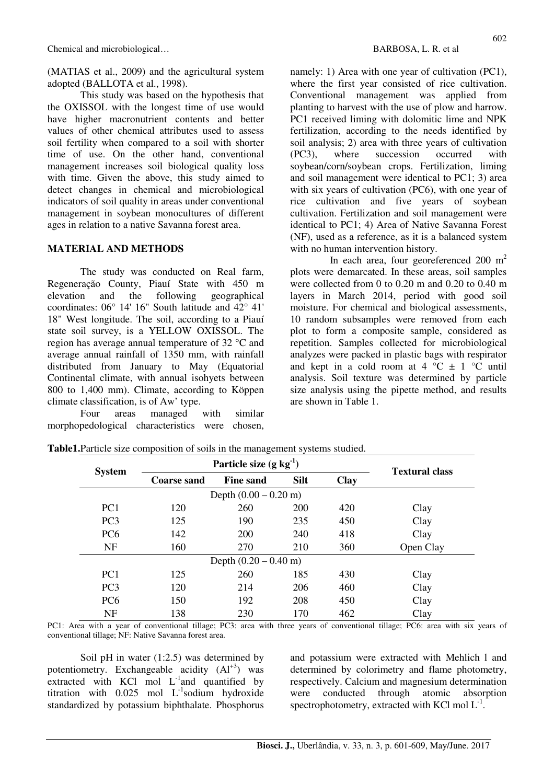(MATIAS et al., 2009) and the agricultural system adopted (BALLOTA et al., 1998).

This study was based on the hypothesis that the OXISSOL with the longest time of use would have higher macronutrient contents and better values of other chemical attributes used to assess soil fertility when compared to a soil with shorter time of use. On the other hand, conventional management increases soil biological quality loss with time. Given the above, this study aimed to detect changes in chemical and microbiological indicators of soil quality in areas under conventional management in soybean monocultures of different ages in relation to a native Savanna forest area.

#### **MATERIAL AND METHODS**

The study was conducted on Real farm, Regeneração County, Piauí State with 450 m elevation and the following geographical coordinates: 06° 14' 16" South latitude and 42° 41' 18" West longitude. The soil, according to a Piauí state soil survey, is a YELLOW OXISSOL. The region has average annual temperature of 32 °C and average annual rainfall of 1350 mm, with rainfall distributed from January to May (Equatorial Continental climate, with annual isohyets between 800 to 1,400 mm). Climate, according to Köppen climate classification, is of Aw' type.

Four areas managed with similar morphopedological characteristics were chosen, namely: 1) Area with one year of cultivation (PC1), where the first year consisted of rice cultivation. Conventional management was applied from planting to harvest with the use of plow and harrow. PC1 received liming with dolomitic lime and NPK fertilization, according to the needs identified by soil analysis; 2) area with three years of cultivation (PC3), where succession occurred with soybean/corn/soybean crops. Fertilization, liming and soil management were identical to PC1; 3) area with six years of cultivation (PC6), with one year of rice cultivation and five years of soybean cultivation. Fertilization and soil management were identical to PC1; 4) Area of Native Savanna Forest (NF), used as a reference, as it is a balanced system with no human intervention history.

In each area, four georeferenced 200 m<sup>2</sup> plots were demarcated. In these areas, soil samples were collected from 0 to 0.20 m and 0.20 to 0.40 m layers in March 2014, period with good soil moisture. For chemical and biological assessments, 10 random subsamples were removed from each plot to form a composite sample, considered as repetition. Samples collected for microbiological analyzes were packed in plastic bags with respirator and kept in a cold room at  $4 \degree C \pm 1 \degree C$  until analysis. Soil texture was determined by particle size analysis using the pipette method, and results are shown in Table 1.

| <b>System</b>                   | Particle size $(g \ kg^{-1})$ | <b>Textural class</b> |             |             |           |  |  |  |  |
|---------------------------------|-------------------------------|-----------------------|-------------|-------------|-----------|--|--|--|--|
|                                 | <b>Coarse sand</b>            | <b>Fine sand</b>      | <b>Silt</b> | <b>Clay</b> |           |  |  |  |  |
| Depth $(0.00 - 0.20$ m)         |                               |                       |             |             |           |  |  |  |  |
| PC <sub>1</sub>                 | 120                           | 260                   | <b>200</b>  | 420         | Clay      |  |  |  |  |
| PC <sub>3</sub>                 | 125                           | 190                   | 235         | 450         | Clay      |  |  |  |  |
| PC <sub>6</sub>                 | 142                           | <b>200</b>            | 240         | 418         | Clay      |  |  |  |  |
| <b>NF</b>                       | 160                           | 270                   | 210         | 360         | Open Clay |  |  |  |  |
| Depth $(0.20 - 0.40 \text{ m})$ |                               |                       |             |             |           |  |  |  |  |
| PC <sub>1</sub>                 | 125                           | 260                   | 185         | 430         | Clay      |  |  |  |  |
| PC <sub>3</sub>                 | 120                           | 214                   | 206         | 460         | Clay      |  |  |  |  |
| PC <sub>6</sub>                 | 150                           | 192                   | 208         | 450         | Clay      |  |  |  |  |
| <b>NF</b>                       | 138                           | 230                   | 170         | 462         | Clay      |  |  |  |  |

**Table1.**Particle size composition of soils in the management systems studied.

PC1: Area with a year of conventional tillage; PC3: area with three years of conventional tillage; PC6: area with six years of conventional tillage; NF: Native Savanna forest area.

Soil pH in water  $(1:2.5)$  was determined by potentiometry. Exchangeable acidity  $(AI<sup>+3</sup>)$  was extracted with KCl mol  $L^{-1}$ and quantified by titration with  $0.025$  mol L<sup>-1</sup>sodium hydroxide standardized by potassium biphthalate. Phosphorus and potassium were extracted with Mehlich l and determined by colorimetry and flame photometry, respectively. Calcium and magnesium determination were conducted through atomic absorption spectrophotometry, extracted with KCl mol  $L^{-1}$ .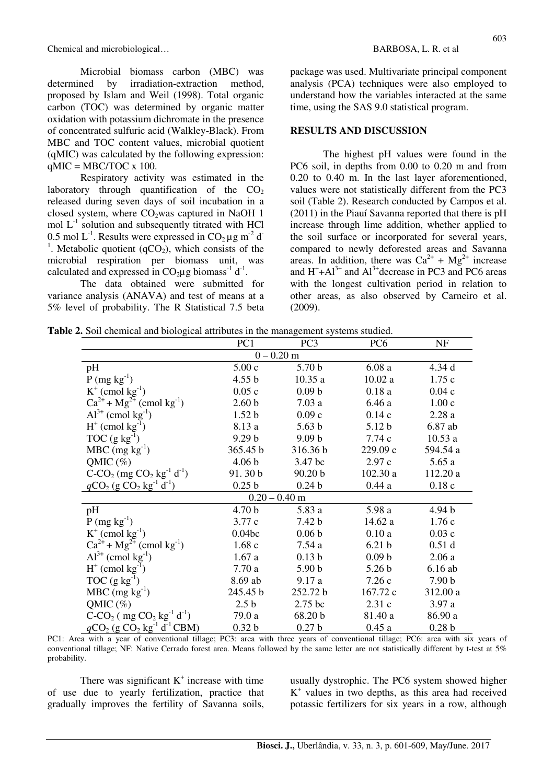Chemical and microbiological… BARBOSA, L. R. et al.

Microbial biomass carbon (MBC) was determined by irradiation-extraction method, proposed by Islam and Weil (1998). Total organic carbon (TOC) was determined by organic matter oxidation with potassium dichromate in the presence of concentrated sulfuric acid (Walkley-Black). From MBC and TOC content values, microbial quotient (qMIC) was calculated by the following expression:  $qMIC = MBC/TOC \times 100$ .

Respiratory activity was estimated in the laboratory through quantification of the  $CO<sub>2</sub>$ released during seven days of soil incubation in a closed system, where  $CO<sub>2</sub>$  was captured in NaOH 1 mol  $L^{-1}$  solution and subsequently titrated with HCl 0.5 mol  $L^{-1}$ . Results were expressed in  $CO<sub>2</sub> \mu g m^{-2} d$ <sup>1</sup>. Metabolic quotient (qCO<sub>2</sub>), which consists of the microbial respiration per biomass unit, was calculated and expressed in  $CO<sub>2</sub>\mu g$  biomass<sup>-1</sup> d<sup>-1</sup>.

The data obtained were submitted for variance analysis (ANAVA) and test of means at a 5% level of probability. The R Statistical 7.5 beta package was used. Multivariate principal component analysis (PCA) techniques were also employed to understand how the variables interacted at the same time, using the SAS 9.0 statistical program.

#### **RESULTS AND DISCUSSION**

The highest pH values were found in the PC6 soil, in depths from 0.00 to 0.20 m and from 0.20 to 0.40 m. In the last layer aforementioned, values were not statistically different from the PC3 soil (Table 2). Research conducted by Campos et al. (2011) in the Piauí Savanna reported that there is pH increase through lime addition, whether applied to the soil surface or incorporated for several years, compared to newly deforested areas and Savanna areas. In addition, there was  $Ca^{2+} + Mg^{2+}$  increase and  $H^+ + Al^{3+}$  and  $Al^{3+}$ decrease in PC3 and PC6 areas with the longest cultivation period in relation to other areas, as also observed by Carneiro et al. (2009).

|  | Table 2. Soil chemical and biological attributes in the management systems studied. |  |
|--|-------------------------------------------------------------------------------------|--|
|  |                                                                                     |  |

| $0 - 0.20$ m                                         |                    |                   |                   |                   |  |  |  |  |  |
|------------------------------------------------------|--------------------|-------------------|-------------------|-------------------|--|--|--|--|--|
| pH                                                   | 5.00c              | 5.70 <sub>b</sub> | 6.08a             | 4.34d             |  |  |  |  |  |
| $P (mg kg^{-1})$                                     | 4.55 b             | 10.35a            | 10.02a            | 1.75c             |  |  |  |  |  |
| $K^+$ (cmol kg <sup>-1</sup> )                       | 0.05c              | 0.09 <sub>b</sub> | 0.18a             | 0.04c             |  |  |  |  |  |
| $Ca^{2+} + Mg^{2+}$ (cmol kg <sup>-1</sup> )         | 2.60 <sub>b</sub>  | 7.03a             | 6.46a             | 1.00c             |  |  |  |  |  |
| $Al^{3+}$ (cmol kg <sup>-1</sup> )                   | 1.52 <sub>b</sub>  | 0.09c             | 0.14c             | 2.28a             |  |  |  |  |  |
| $H^+$ (cmol kg <sup>-1</sup> )                       | 8.13 a             | 5.63 <sub>b</sub> | 5.12 <sub>b</sub> | 6.87 ab           |  |  |  |  |  |
| $TOC$ (g kg <sup>-1</sup> )                          | 9.29 <sub>b</sub>  | 9.09 <sub>b</sub> | 7.74 c            | 10.53a            |  |  |  |  |  |
| $MBC$ (mg $kg^{-1}$ )                                | 365.45 b           | 316.36 b          | 229.09 c          | 594.54 a          |  |  |  |  |  |
| QMIC $(\%)$                                          | 4.06 <sub>b</sub>  | 3.47 bc           | 2.97c             | 5.65a             |  |  |  |  |  |
| $C-CO2$ (mg $CO2$ kg <sup>-1</sup> d <sup>-1</sup> ) | 91.30b             | 90.20 b           | 102.30 a          | 112.20a           |  |  |  |  |  |
| $qCO_2$ (g $CO_2$ kg <sup>-1</sup> d <sup>-1</sup> ) | 0.25 <sub>b</sub>  | 0.24 <sub>b</sub> | 0.44a             | 0.18c             |  |  |  |  |  |
| $0.20 - 0.40$ m                                      |                    |                   |                   |                   |  |  |  |  |  |
| pH                                                   | 4.70 <sub>b</sub>  | 5.83 a            | 5.98 a            | 4.94 <sub>b</sub> |  |  |  |  |  |
| $P(mg kg^{-1})$                                      | 3.77c              | 7.42 b            | 14.62a            | 1.76c             |  |  |  |  |  |
| $K^+$ (cmol kg <sup>-1</sup> )                       | 0.04 <sub>bc</sub> | 0.06 <sub>b</sub> | 0.10a             | 0.03c             |  |  |  |  |  |
| $Ca^{2+} + Mg^{2+}$ (cmol kg <sup>-1</sup> )         | 1.68c              | 7.54 a            | 6.21 <sub>b</sub> | 0.51d             |  |  |  |  |  |
| $Al^{3+}$ (cmol kg <sup>-1</sup> )                   | 1.67a              | 0.13 <sub>b</sub> | 0.09 <sub>b</sub> | 2.06a             |  |  |  |  |  |
| $H^+$ (cmol kg <sup>-1</sup> )                       | 7.70a              | 5.90 <sub>b</sub> | 5.26 <sub>b</sub> | 6.16ab            |  |  |  |  |  |
| TOC $(g \ kg^{-1})$                                  | 8.69 ab            | 9.17a             | 7.26c             | 7.90 <sub>b</sub> |  |  |  |  |  |
| $MBC$ (mg kg <sup>-1</sup> )                         | 245.45 b           | 252.72 b          | 167.72c           | 312.00 a          |  |  |  |  |  |
| QMIC $(\%)$                                          | 2.5 <sub>b</sub>   | 2.75 bc           | 2.31c             | 3.97a             |  |  |  |  |  |

PC1 PC3 PC6 NF

PC1: Area with a year of conventional tillage; PC3: area with three years of conventional tillage; PC6: area with six years of conventional tillage; NF: Native Cerrado forest area. Means followed by the same letter are not statistically different by t-test at 5% probability.

 $qCO_2$  (g CO<sub>2</sub> kg<sup>-1</sup> d<sup>-1</sup> CBM) 0.32 b 0.27 b 0.45 a 0.28 b

There was significant  $K^+$  increase with time of use due to yearly fertilization, practice that gradually improves the fertility of Savanna soils,

 $C$ -CO<sub>2</sub> ( mg CO<sub>2</sub> kg<sup>-1</sup> d<sup>-1</sup>

usually dystrophic. The PC6 system showed higher K + values in two depths, as this area had received potassic fertilizers for six years in a row, although

79.0 a 68.20 b 81.40 a 86.90 a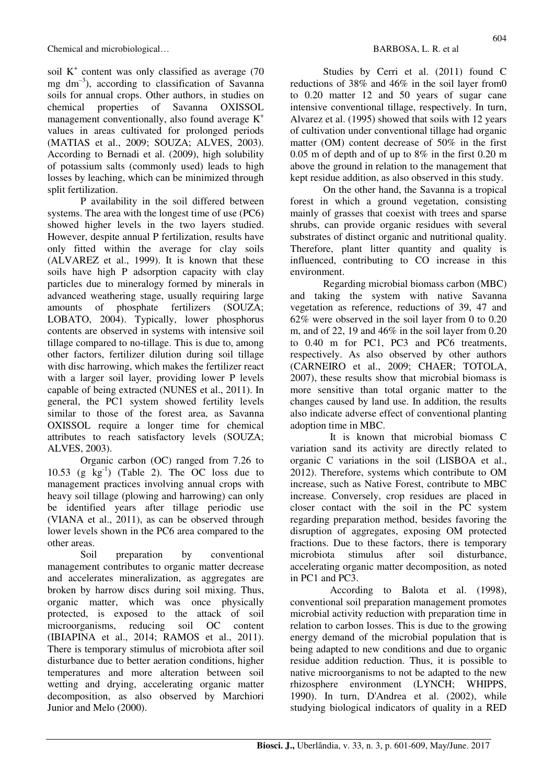soil  $K^+$  content was only classified as average (70 mg  $dm^{-3}$ ), according to classification of Savanna soils for annual crops. Other authors, in studies on chemical properties of Savanna OXISSOL management conventionally, also found average  $K^+$ values in areas cultivated for prolonged periods (MATIAS et al., 2009; SOUZA; ALVES, 2003). According to Bernadi et al. (2009), high solubility of potassium salts (commonly used) leads to high losses by leaching, which can be minimized through split fertilization.

P availability in the soil differed between systems. The area with the longest time of use (PC6) showed higher levels in the two layers studied. However, despite annual P fertilization, results have only fitted within the average for clay soils (ALVAREZ et al., 1999). It is known that these soils have high P adsorption capacity with clay particles due to mineralogy formed by minerals in advanced weathering stage, usually requiring large amounts of phosphate fertilizers (SOUZA; LOBATO, 2004). Typically, lower phosphorus contents are observed in systems with intensive soil tillage compared to no-tillage. This is due to, among other factors, fertilizer dilution during soil tillage with disc harrowing, which makes the fertilizer react with a larger soil layer, providing lower P levels capable of being extracted (NUNES et al., 2011). In general, the PC1 system showed fertility levels similar to those of the forest area, as Savanna OXISSOL require a longer time for chemical attributes to reach satisfactory levels (SOUZA; ALVES, 2003).

Organic carbon (OC) ranged from 7.26 to 10.53 (g  $kg^{-1}$ ) (Table 2). The OC loss due to management practices involving annual crops with heavy soil tillage (plowing and harrowing) can only be identified years after tillage periodic use (VIANA et al., 2011), as can be observed through lower levels shown in the PC6 area compared to the other areas.

Soil preparation by conventional management contributes to organic matter decrease and accelerates mineralization, as aggregates are broken by harrow discs during soil mixing. Thus, organic matter, which was once physically protected, is exposed to the attack of soil microorganisms, reducing soil OC content (IBIAPINA et al., 2014; RAMOS et al., 2011). There is temporary stimulus of microbiota after soil disturbance due to better aeration conditions, higher temperatures and more alteration between soil wetting and drying, accelerating organic matter decomposition, as also observed by Marchiori Junior and Melo (2000).

Studies by Cerri et al. (2011) found C reductions of 38% and 46% in the soil layer from0 to 0.20 matter 12 and 50 years of sugar cane intensive conventional tillage, respectively. In turn, Alvarez et al. (1995) showed that soils with 12 years of cultivation under conventional tillage had organic matter (OM) content decrease of 50% in the first 0.05 m of depth and of up to 8% in the first 0.20 m above the ground in relation to the management that kept residue addition, as also observed in this study.

On the other hand, the Savanna is a tropical forest in which a ground vegetation, consisting mainly of grasses that coexist with trees and sparse shrubs, can provide organic residues with several substrates of distinct organic and nutritional quality. Therefore, plant litter quantity and quality is influenced, contributing to CO increase in this environment.

Regarding microbial biomass carbon (MBC) and taking the system with native Savanna vegetation as reference, reductions of 39, 47 and 62% were observed in the soil layer from 0 to 0.20 m, and of 22, 19 and 46% in the soil layer from 0.20 to 0.40 m for PC1, PC3 and PC6 treatments, respectively. As also observed by other authors (CARNEIRO et al., 2009; CHAER; TOTOLA, 2007), these results show that microbial biomass is more sensitive than total organic matter to the changes caused by land use. In addition, the results also indicate adverse effect of conventional planting adoption time in MBC.

It is known that microbial biomass C variation sand its activity are directly related to organic C variations in the soil (LISBOA et al., 2012). Therefore, systems which contribute to OM increase, such as Native Forest, contribute to MBC increase. Conversely, crop residues are placed in closer contact with the soil in the PC system regarding preparation method, besides favoring the disruption of aggregates, exposing OM protected fractions. Due to these factors, there is temporary microbiota stimulus after soil disturbance, accelerating organic matter decomposition, as noted in PC1 and PC3.

According to Balota et al. (1998), conventional soil preparation management promotes microbial activity reduction with preparation time in relation to carbon losses. This is due to the growing energy demand of the microbial population that is being adapted to new conditions and due to organic residue addition reduction. Thus, it is possible to native microorganisms to not be adapted to the new rhizosphere environment (LYNCH; WHIPPS, 1990). In turn, D'Andrea et al. (2002), while studying biological indicators of quality in a RED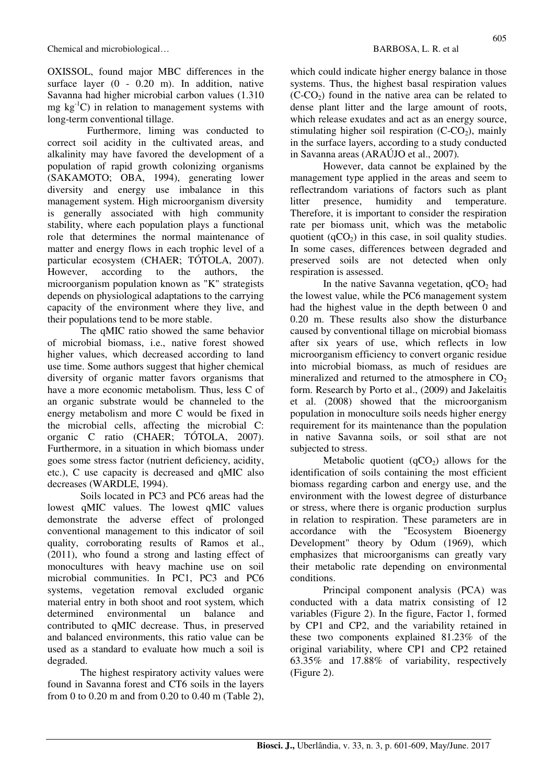OXISSOL, found major MBC differences in the surface layer (0 - 0.20 m). In addition, native Savanna had higher microbial carbon values (1.310 mg  $kg^{-1}C$ ) in relation to management systems with long-term conventional tillage.

Furthermore, liming was conducted to correct soil acidity in the cultivated areas, and alkalinity may have favored the development of a population of rapid growth colonizing organisms (SAKAMOTO; OBA, 1994), generating lower diversity and energy use imbalance in this management system. High microorganism diversity is generally associated with high community stability, where each population plays a functional role that determines the normal maintenance of matter and energy flows in each trophic level of a particular ecosystem (CHAER; TÓTOLA, 2007). However, according to the authors, the microorganism population known as "K" strategists depends on physiological adaptations to the carrying capacity of the environment where they live, and their populations tend to be more stable.

The qMIC ratio showed the same behavior of microbial biomass, i.e., native forest showed higher values, which decreased according to land use time. Some authors suggest that higher chemical diversity of organic matter favors organisms that have a more economic metabolism. Thus, less C of an organic substrate would be channeled to the energy metabolism and more C would be fixed in the microbial cells, affecting the microbial C: organic C ratio (CHAER; TÓTOLA, 2007). Furthermore, in a situation in which biomass under goes some stress factor (nutrient deficiency, acidity, etc.), C use capacity is decreased and qMIC also decreases (WARDLE, 1994).

Soils located in PC3 and PC6 areas had the lowest qMIC values. The lowest qMIC values demonstrate the adverse effect of prolonged conventional management to this indicator of soil quality, corroborating results of Ramos et al., (2011), who found a strong and lasting effect of monocultures with heavy machine use on soil microbial communities. In PC1, PC3 and PC6 systems, vegetation removal excluded organic material entry in both shoot and root system, which determined environmental un balance and contributed to qMIC decrease. Thus, in preserved and balanced environments, this ratio value can be used as a standard to evaluate how much a soil is degraded.

The highest respiratory activity values were found in Savanna forest and CT6 soils in the layers from 0 to 0.20 m and from 0.20 to 0.40 m (Table 2), which could indicate higher energy balance in those systems. Thus, the highest basal respiration values  $(C-CO<sub>2</sub>)$  found in the native area can be related to dense plant litter and the large amount of roots, which release exudates and act as an energy source, stimulating higher soil respiration  $(C-CO<sub>2</sub>)$ , mainly in the surface layers, according to a study conducted in Savanna areas (ARAÚJO et al., 2007)*.*

However, data cannot be explained by the management type applied in the areas and seem to reflectrandom variations of factors such as plant litter presence, humidity and temperature. Therefore, it is important to consider the respiration rate per biomass unit, which was the metabolic quotient  $(qCO<sub>2</sub>)$  in this case, in soil quality studies. In some cases, differences between degraded and preserved soils are not detected when only respiration is assessed.

In the native Savanna vegetation,  $qCO<sub>2</sub>$  had the lowest value, while the PC6 management system had the highest value in the depth between 0 and 0.20 m. These results also show the disturbance caused by conventional tillage on microbial biomass after six years of use, which reflects in low microorganism efficiency to convert organic residue into microbial biomass, as much of residues are mineralized and returned to the atmosphere in  $CO<sub>2</sub>$ form. Research by Porto et al., (2009) and Jakelaitis et al. (2008) showed that the microorganism population in monoculture soils needs higher energy requirement for its maintenance than the population in native Savanna soils, or soil sthat are not subjected to stress.

Metabolic quotient  $(qCO<sub>2</sub>)$  allows for the identification of soils containing the most efficient biomass regarding carbon and energy use, and the environment with the lowest degree of disturbance or stress, where there is organic production surplus in relation to respiration. These parameters are in accordance with the "Ecosystem Bioenergy Development" theory by Odum (1969), which emphasizes that microorganisms can greatly vary their metabolic rate depending on environmental conditions.

Principal component analysis (PCA) was conducted with a data matrix consisting of 12 variables (Figure 2). In the figure, Factor 1, formed by CP1 and CP2, and the variability retained in these two components explained 81.23% of the original variability, where CP1 and CP2 retained 63.35% and 17.88% of variability, respectively (Figure 2).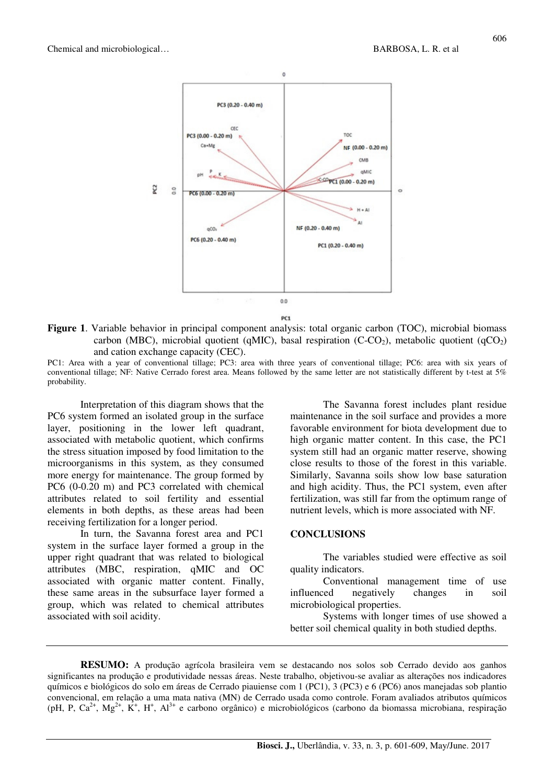

**Figure 1**. Variable behavior in principal component analysis: total organic carbon (TOC), microbial biomass carbon (MBC), microbial quotient (qMIC), basal respiration (C-CO<sub>2</sub>), metabolic quotient (qCO<sub>2</sub>) and cation exchange capacity (CEC).

PC1: Area with a year of conventional tillage; PC3: area with three years of conventional tillage; PC6: area with six years of conventional tillage; NF: Native Cerrado forest area. Means followed by the same letter are not statistically different by t-test at 5% probability.

Interpretation of this diagram shows that the PC6 system formed an isolated group in the surface layer, positioning in the lower left quadrant, associated with metabolic quotient, which confirms the stress situation imposed by food limitation to the microorganisms in this system, as they consumed more energy for maintenance. The group formed by PC6 (0-0.20 m) and PC3 correlated with chemical attributes related to soil fertility and essential elements in both depths, as these areas had been receiving fertilization for a longer period.

In turn, the Savanna forest area and PC1 system in the surface layer formed a group in the upper right quadrant that was related to biological attributes (MBC, respiration, qMIC and OC associated with organic matter content. Finally, these same areas in the subsurface layer formed a group, which was related to chemical attributes associated with soil acidity.

The Savanna forest includes plant residue maintenance in the soil surface and provides a more favorable environment for biota development due to high organic matter content. In this case, the PC1 system still had an organic matter reserve, showing close results to those of the forest in this variable. Similarly, Savanna soils show low base saturation and high acidity. Thus, the PC1 system, even after fertilization, was still far from the optimum range of nutrient levels, which is more associated with NF.

#### **CONCLUSIONS**

The variables studied were effective as soil quality indicators.

Conventional management time of use influenced negatively changes in soil microbiological properties.

Systems with longer times of use showed a better soil chemical quality in both studied depths.

**RESUMO:** A produção agrícola brasileira vem se destacando nos solos sob Cerrado devido aos ganhos significantes na produção e produtividade nessas áreas. Neste trabalho, objetivou-se avaliar as alterações nos indicadores químicos e biológicos do solo em áreas de Cerrado piauiense com 1 (PC1), 3 (PC3) e 6 (PC6) anos manejadas sob plantio convencional, em relação a uma mata nativa (MN) de Cerrado usada como controle. Foram avaliados atributos químicos (pH, P, Ca<sup>2+</sup>, Mg<sup>2+</sup>, K<sup>+</sup>, H<sup>+</sup>, Al<sup>3+</sup> e carbono orgânico) e microbiológicos (carbono da biomassa microbiana, respiração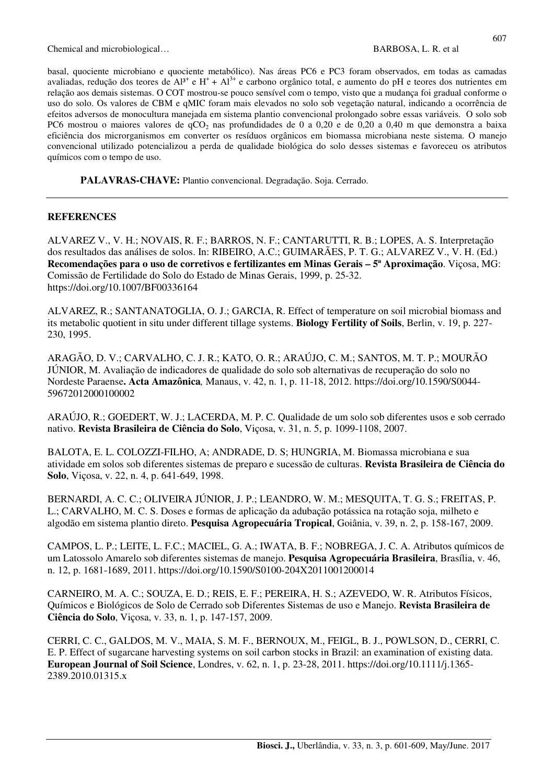Chemical and microbiological… BARBOSA, L. R. et al.

**PALAVRAS-CHAVE:** Plantio convencional. Degradação. Soja. Cerrado.

### **REFERENCES**

ALVAREZ V., V. H.; NOVAIS, R. F.; BARROS, N. F.; CANTARUTTI, R. B.; LOPES, A. S. Interpretação dos resultados das análises de solos. In: RIBEIRO, A.C.; GUIMARÃES, P. T. G.; ALVAREZ V., V. H. (Ed.) **Recomendações para o uso de corretivos e fertilizantes em Minas Gerais – 5ª Aproximação**. Viçosa, MG: Comissão de Fertilidade do Solo do Estado de Minas Gerais, 1999, p. 25-32. https://doi.org/10.1007/BF00336164

ALVAREZ, R.; SANTANATOGLIA, O. J.; GARCIA, R. Effect of temperature on soil microbial biomass and its metabolic quotient in situ under different tillage systems. **Biology Fertility of Soils**, Berlin, v. 19, p. 227- 230, 1995.

ARAGÃO, D. V.; CARVALHO, C. J. R.; KATO, O. R.; ARAÚJO, C. M.; SANTOS, M. T. P.; MOURÃO JÚNIOR, M. Avaliação de indicadores de qualidade do solo sob alternativas de recuperação do solo no Nordeste Paraense**. Acta Amazônica***,* Manaus, v. 42, n. 1, p. 11-18, 2012. https://doi.org/10.1590/S0044- 59672012000100002

ARAÚJO, R.; GOEDERT, W. J.; LACERDA, M. P. C. Qualidade de um solo sob diferentes usos e sob cerrado nativo. **Revista Brasileira de Ciência do Solo**, Viçosa, v. 31, n. 5, p. 1099-1108, 2007.

BALOTA, E. L. COLOZZI-FILHO, A; ANDRADE, D. S; HUNGRIA, M. Biomassa microbiana e sua atividade em solos sob diferentes sistemas de preparo e sucessão de culturas. **Revista Brasileira de Ciência do Solo**, Viçosa, v. 22, n. 4, p. 641-649, 1998.

BERNARDI, A. C. C.; OLIVEIRA JÚNIOR, J. P.; LEANDRO, W. M.; MESQUITA, T. G. S.; FREITAS, P. L.; CARVALHO, M. C. S. Doses e formas de aplicação da adubação potássica na rotação soja, milheto e algodão em sistema plantio direto. **Pesquisa Agropecuária Tropical**, Goiânia, v. 39, n. 2, p. 158-167, 2009.

CAMPOS, L. P.; LEITE, L. F.C.; MACIEL, G. A.; IWATA, B. F.; NOBREGA, J. C. A. Atributos químicos de um Latossolo Amarelo sob diferentes sistemas de manejo. **Pesquisa Agropecuária Brasileira**, Brasília, v. 46, n. 12, p. 1681-1689, 2011. https://doi.org/10.1590/S0100-204X2011001200014

CARNEIRO, M. A. C.; SOUZA, E. D.; REIS, E. F.; PEREIRA, H. S.; AZEVEDO, W. R. Atributos Físicos, Químicos e Biológicos de Solo de Cerrado sob Diferentes Sistemas de uso e Manejo. **Revista Brasileira de Ciência do Solo**, Viçosa, v. 33, n. 1, p. 147-157, 2009.

CERRI, C. C., GALDOS, M. V., MAIA, S. M. F., BERNOUX, M., FEIGL, B. J., POWLSON, D., CERRI, C. E. P. Effect of sugarcane harvesting systems on soil carbon stocks in Brazil: an examination of existing data. **European Journal of Soil Science**, Londres, v. 62, n. 1, p. 23-28, 2011. https://doi.org/10.1111/j.1365- 2389.2010.01315.x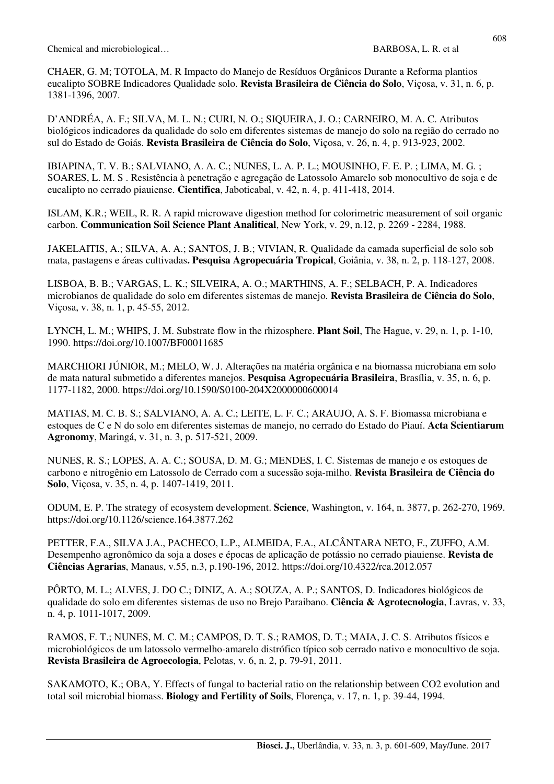Chemical and microbiological… BARBOSA, L. R. et al.

CHAER, G. M; TOTOLA, M. R Impacto do Manejo de Resíduos Orgânicos Durante a Reforma plantios eucalipto SOBRE Indicadores Qualidade solo. **Revista Brasileira de Ciência do Solo**, Viçosa, v. 31, n. 6, p. 1381-1396, 2007.

D'ANDRÉA, A. F.; SILVA, M. L. N.; CURI, N. O.; SIQUEIRA, J. O.; CARNEIRO, M. A. C. Atributos biológicos indicadores da qualidade do solo em diferentes sistemas de manejo do solo na região do cerrado no sul do Estado de Goiás. **Revista Brasileira de Ciência do Solo**, Viçosa, v. 26, n. 4, p. 913-923, 2002.

IBIAPINA, T. V. B.; SALVIANO, A. A. C.; NUNES, L. A. P. L.; MOUSINHO, F. E. P. ; LIMA, M. G. ; SOARES, L. M. S . Resistência à penetração e agregação de Latossolo Amarelo sob monocultivo de soja e de eucalipto no cerrado piauiense. **Cientifica**, Jaboticabal, v. 42, n. 4, p. 411-418, 2014.

ISLAM, K.R.; WEIL, R. R. A rapid microwave digestion method for colorimetric measurement of soil organic carbon. **Communication Soil Science Plant Analitical**, New York, v. 29, n.12, p. 2269 - 2284, 1988.

JAKELAITIS, A.; SILVA, A. A.; SANTOS, J. B.; VIVIAN, R. Qualidade da camada superficial de solo sob mata, pastagens e áreas cultivadas**. Pesquisa Agropecuária Tropical**, Goiânia, v. 38, n. 2, p. 118-127, 2008.

LISBOA, B. B.; VARGAS, L. K.; SILVEIRA, A. O.; MARTHINS, A. F.; SELBACH, P. A. Indicadores microbianos de qualidade do solo em diferentes sistemas de manejo. **Revista Brasileira de Ciência do Solo**, Viçosa, v. 38, n. 1, p. 45-55, 2012.

LYNCH, L. M.; WHIPS, J. M. Substrate flow in the rhizosphere. **Plant Soil**, The Hague, v. 29, n. 1, p. 1-10, 1990. https://doi.org/10.1007/BF00011685

MARCHIORI JÚNIOR, M.; MELO, W. J. Alterações na matéria orgânica e na biomassa microbiana em solo de mata natural submetido a diferentes manejos. **Pesquisa Agropecuária Brasileira**, Brasília, v. 35, n. 6, p. 1177-1182, 2000. https://doi.org/10.1590/S0100-204X2000000600014

MATIAS, M. C. B. S.; SALVIANO, A. A. C.; LEITE, L. F. C.; ARAUJO, A. S. F. Biomassa microbiana e estoques de C e N do solo em diferentes sistemas de manejo, no cerrado do Estado do Piauí. **Acta Scientiarum Agronomy**, Maringá, v. 31, n. 3, p. 517-521, 2009.

NUNES, R. S.; LOPES, A. A. C.; SOUSA, D. M. G.; MENDES, I. C. Sistemas de manejo e os estoques de carbono e nitrogênio em Latossolo de Cerrado com a sucessão soja-milho. **Revista Brasileira de Ciência do Solo**, Viçosa, v. 35, n. 4, p. 1407-1419, 2011.

ODUM, E. P. The strategy of ecosystem development. **Science**, Washington, v. 164, n. 3877, p. 262-270, 1969. https://doi.org/10.1126/science.164.3877.262

PETTER, F.A., SILVA J.A., PACHECO, L.P., ALMEIDA, F.A., ALCÂNTARA NETO, F., ZUFFO, A.M. Desempenho agronômico da soja a doses e épocas de aplicação de potássio no cerrado piauiense. **Revista de Ciências Agrarias**, Manaus, v.55, n.3, p.190-196, 2012. https://doi.org/10.4322/rca.2012.057

PÔRTO, M. L.; ALVES, J. DO C.; DINIZ, A. A.; SOUZA, A. P.; SANTOS, D. Indicadores biológicos de qualidade do solo em diferentes sistemas de uso no Brejo Paraibano. **Ciência & Agrotecnologia**, Lavras, v. 33, n. 4, p. 1011-1017, 2009.

RAMOS, F. T.; NUNES, M. C. M.; CAMPOS, D. T. S.; RAMOS, D. T.; MAIA, J. C. S. Atributos físicos e microbiológicos de um latossolo vermelho-amarelo distrófico típico sob cerrado nativo e monocultivo de soja. **Revista Brasileira de Agroecologia**, Pelotas, v. 6, n. 2, p. 79-91, 2011.

SAKAMOTO, K.; OBA, Y. Effects of fungal to bacterial ratio on the relationship between CO2 evolution and total soil microbial biomass. **Biology and Fertility of Soils**, Florença, v. 17, n. 1, p. 39-44, 1994.